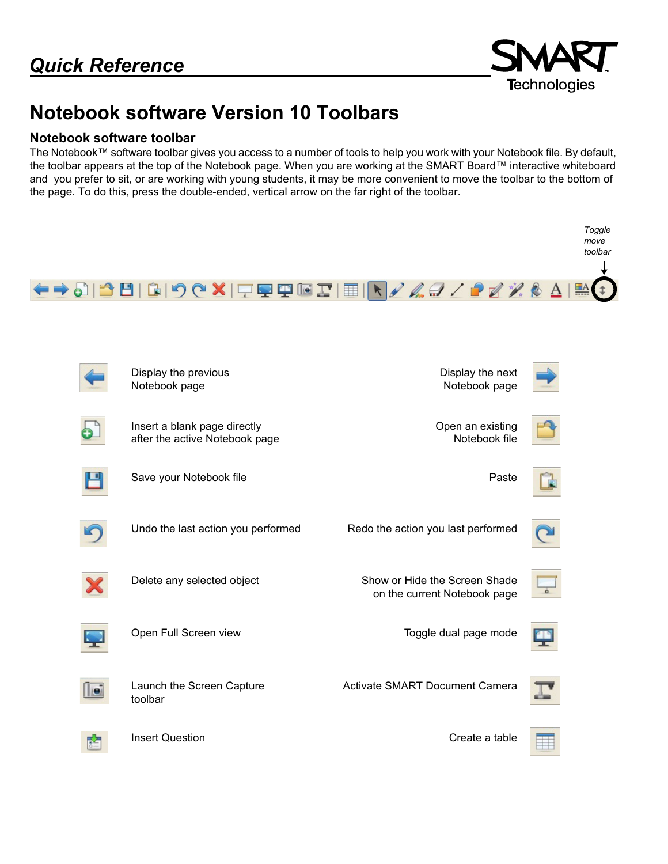

# **Notebook software Version 10 Toolbars**

#### **Notebook software toolbar**

The Notebook™ software toolbar gives you access to a number of tools to help you work with your Notebook file. By default, the toolbar appears at the top of the Notebook page. When you are working at the SMART Board™ interactive whiteboard and you prefer to sit, or are working with young students, it may be more convenient to move the toolbar to the bottom of the page. To do this, press the double-ended, vertical arrow on the far right of the toolbar.

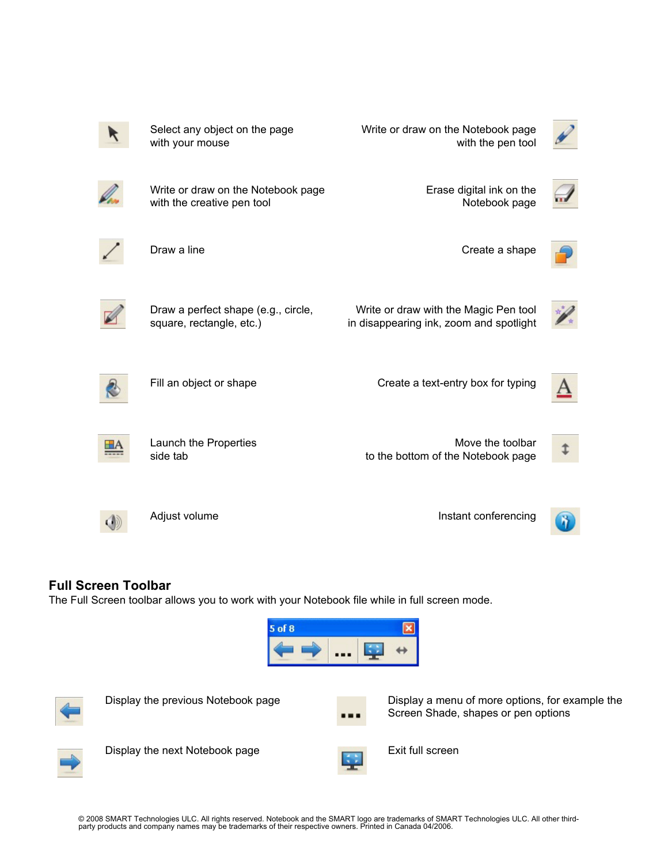

### **Full Screen Toolbar**

The Full Screen toolbar allows you to work with your Notebook file while in full screen mode.







Display the previous Notebook page Display a menu of more options, for example the Screen Shade, shapes or pen options



Display the next Notebook page Exit full screen

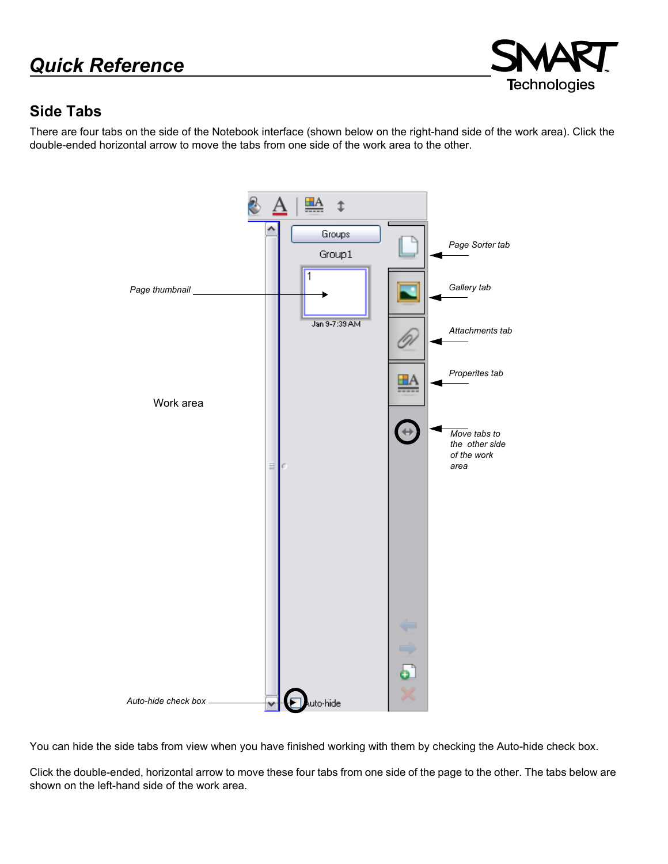# *Quick Reference*



### **Side Tabs**

There are four tabs on the side of the Notebook interface (shown below on the right-hand side of the work area). Click the double-ended horizontal arrow to move the tabs from one side of the work area to the other.



You can hide the side tabs from view when you have finished working with them by checking the Auto-hide check box.

Click the double-ended, horizontal arrow to move these four tabs from one side of the page to the other. The tabs below are shown on the left-hand side of the work area.